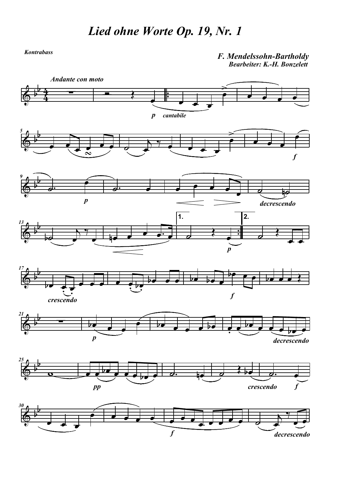Kontrabass

F. Mendelssohn-Bartholdy Bearbeiter: K.-H. Bonzelett